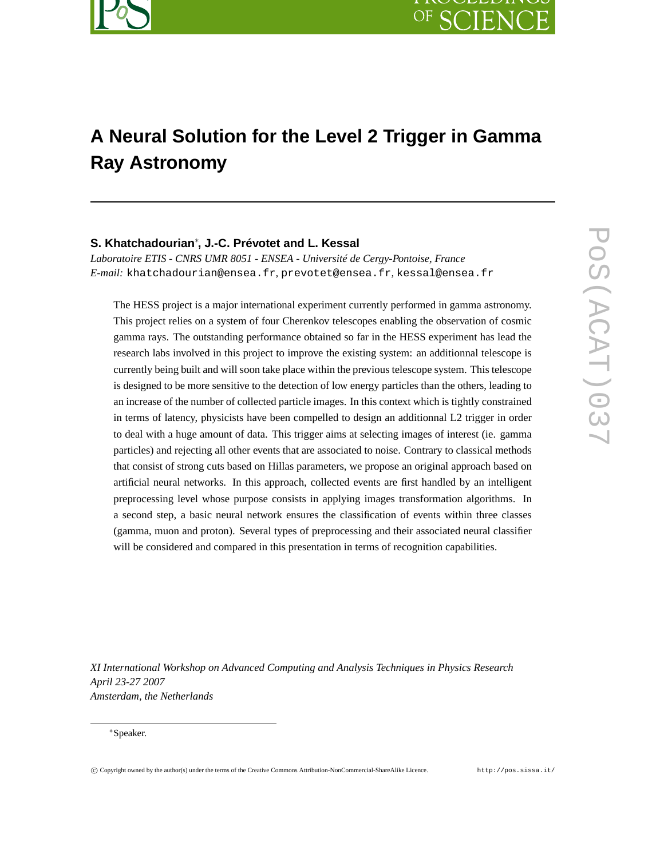

# **A Neural Solution for the Level 2 Trigger in Gamma Ray Astronomy**

## **S. Khatchadourian**<sup>∗</sup> **, J.-C. Prévotet and L. Kessal**

*Laboratoire ETIS - CNRS UMR 8051 - ENSEA - Université de Cergy-Pontoise, France E-mail:* khatchadourian@ensea.fr*,* prevotet@ensea.fr*,* kessal@ensea.fr

The HESS project is a major international experiment currently performed in gamma astronomy. This project relies on a system of four Cherenkov telescopes enabling the observation of cosmic gamma rays. The outstanding performance obtained so far in the HESS experiment has lead the research labs involved in this project to improve the existing system: an additionnal telescope is currently being built and will soon take place within the previous telescope system. This telescope is designed to be more sensitive to the detection of low energy particles than the others, leading to an increase of the number of collected particle images. In this context which is tightly constrained in terms of latency, physicists have been compelled to design an additionnal L2 trigger in order to deal with a huge amount of data. This trigger aims at selecting images of interest (ie. gamma particles) and rejecting all other events that are associated to noise. Contrary to classical methods that consist of strong cuts based on Hillas parameters, we propose an original approach based on artificial neural networks. In this approach, collected events are first handled by an intelligent preprocessing level whose purpose consists in applying images transformation algorithms. In a second step, a basic neural network ensures the classification of events within three classes (gamma, muon and proton). Several types of preprocessing and their associated neural classifier will be considered and compared in this presentation in terms of recognition capabilities.

*XI International Workshop on Advanced Computing and Analysis Techniques in Physics Research April 23-27 2007 Amsterdam, the Netherlands*

<sup>∗</sup>Speaker.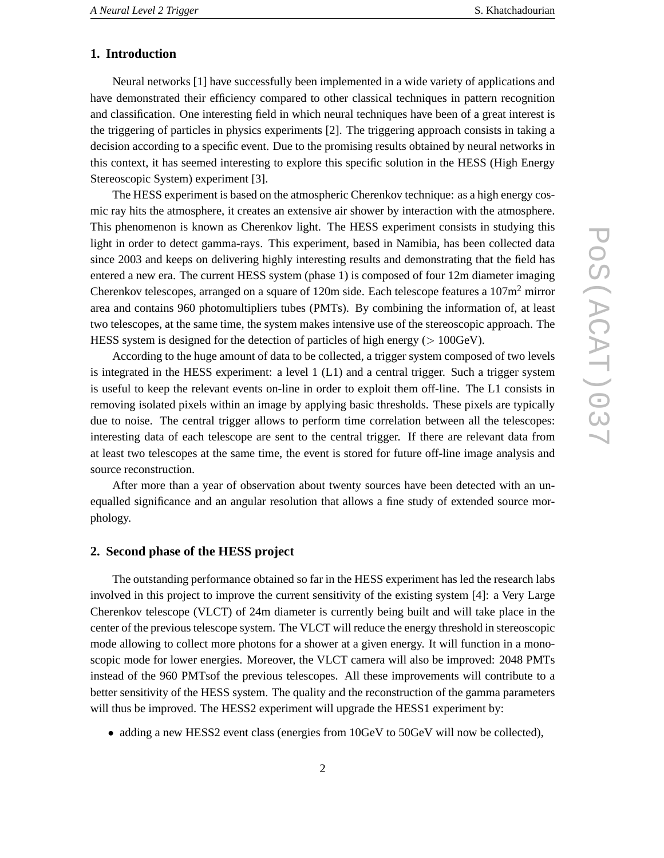## **1. Introduction**

Neural networks [1] have successfully been implemented in a wide variety of applications and have demonstrated their efficiency compared to other classical techniques in pattern recognition and classification. One interesting field in which neural techniques have been of a great interest is the triggering of particles in physics experiments [2]. The triggering approach consists in taking a decision according to a specific event. Due to the promising results obtained by neural networks in this context, it has seemed interesting to explore this specific solution in the HESS (High Energy Stereoscopic System) experiment [3].

The HESS experiment is based on the atmospheric Cherenkov technique: as a high energy cosmic ray hits the atmosphere, it creates an extensive air shower by interaction with the atmosphere. This phenomenon is known as Cherenkov light. The HESS experiment consists in studying this light in order to detect gamma-rays. This experiment, based in Namibia, has been collected data since 2003 and keeps on delivering highly interesting results and demonstrating that the field has entered a new era. The current HESS system (phase 1) is composed of four 12m diameter imaging Cherenkov telescopes, arranged on a square of 120m side. Each telescope features a  $107m^2$  mirror area and contains 960 photomultipliers tubes (PMTs). By combining the information of, at least two telescopes, at the same time, the system makes intensive use of the stereoscopic approach. The HESS system is designed for the detection of particles of high energy ( $> 100 \text{GeV}$ ).

According to the huge amount of data to be collected, a trigger system composed of two levels is integrated in the HESS experiment: a level 1 (L1) and a central trigger. Such a trigger system is useful to keep the relevant events on-line in order to exploit them off-line. The L1 consists in removing isolated pixels within an image by applying basic thresholds. These pixels are typically due to noise. The central trigger allows to perform time correlation between all the telescopes: interesting data of each telescope are sent to the central trigger. If there are relevant data from at least two telescopes at the same time, the event is stored for future off-line image analysis and source reconstruction.

After more than a year of observation about twenty sources have been detected with an unequalled significance and an angular resolution that allows a fine study of extended source morphology.

#### **2. Second phase of the HESS project**

The outstanding performance obtained so far in the HESS experiment has led the research labs involved in this project to improve the current sensitivity of the existing system [4]: a Very Large Cherenkov telescope (VLCT) of 24m diameter is currently being built and will take place in the center of the previous telescope system. The VLCT will reduce the energy threshold in stereoscopic mode allowing to collect more photons for a shower at a given energy. It will function in a monoscopic mode for lower energies. Moreover, the VLCT camera will also be improved: 2048 PMTs instead of the 960 PMTsof the previous telescopes. All these improvements will contribute to a better sensitivity of the HESS system. The quality and the reconstruction of the gamma parameters will thus be improved. The HESS2 experiment will upgrade the HESS1 experiment by:

• adding a new HESS2 event class (energies from 10GeV to 50GeV will now be collected),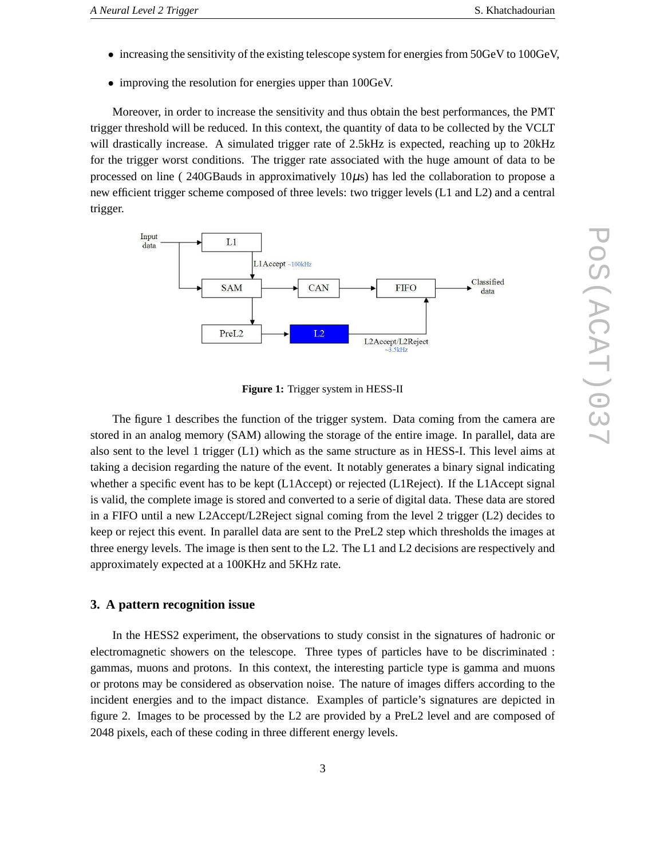- increasing the sensitivity of the existing telescope system for energies from 50GeV to 100GeV,
- improving the resolution for energies upper than 100GeV.

Moreover, in order to increase the sensitivity and thus obtain the best performances, the PMT trigger threshold will be reduced. In this context, the quantity of data to be collected by the VCLT will drastically increase. A simulated trigger rate of 2.5 kHz is expected, reaching up to 20 kHz for the trigger worst conditions. The trigger rate associated with the huge amount of data to be processed on line (  $240GBauds$  in approximatively  $10\mu s$ ) has led the collaboration to propose a new efficient trigger scheme composed of three levels: two trigger levels (L1 and L2) and a central trigger.



**Figure 1:** Trigger system in HESS-II

The figure 1 describes the function of the trigger system. Data coming from the camera are stored in an analog memory (SAM) allowing the storage of the entire image. In parallel, data are also sent to the level 1 trigger (L1) which as the same structure as in HESS-I. This level aims at taking a decision regarding the nature of the event. It notably generates a binary signal indicating whether a specific event has to be kept (L1Accept) or rejected (L1Reject). If the L1Accept signal is valid, the complete image is stored and converted to a serie of digital data. These data are stored in a FIFO until a new L2Accept/L2Reject signal coming from the level 2 trigger (L2) decides to keep or reject this event. In parallel data are sent to the PreL2 step which thresholds the images at three energy levels. The image is then sent to the L2. The L1 and L2 decisions are respectively and approximately expected at a 100KHz and 5KHz rate.

## **3. A pattern recognition issue**

In the HESS2 experiment, the observations to study consist in the signatures of hadronic or electromagnetic showers on the telescope. Three types of particles have to be discriminated : gammas, muons and protons. In this context, the interesting particle type is gamma and muons or protons may be considered as observation noise. The nature of images differs according to the incident energies and to the impact distance. Examples of particle's signatures are depicted in figure 2. Images to be processed by the L2 are provided by a PreL2 level and are composed of 2048 pixels, each of these coding in three different energy levels.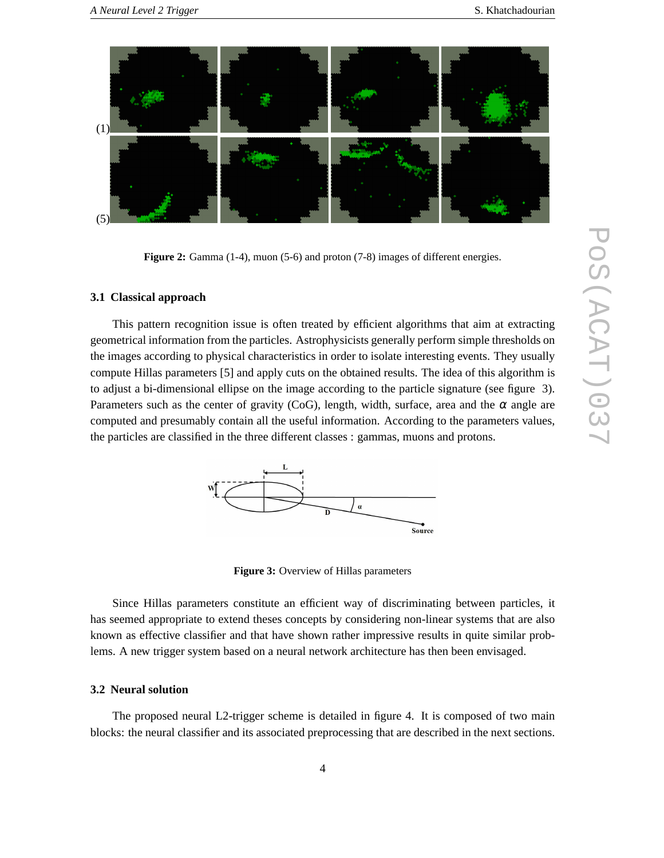

**Figure 2:** Gamma (1-4), muon (5-6) and proton (7-8) images of different energies.

#### **3.1 Classical approach**

This pattern recognition issue is often treated by efficient algorithms that aim at extracting geometrical information from the particles. Astrophysicists generally perform simple thresholds on the images according to physical characteristics in order to isolate interesting events. They usually compute Hillas parameters [5] and apply cuts on the obtained results. The idea of this algorithm is to adjust a bi-dimensional ellipse on the image according to the particle signature (see figure 3). Parameters such as the center of gravity (CoG), length, width, surface, area and the  $\alpha$  angle are computed and presumably contain all the useful information. According to the parameters values, the particles are classified in the three different classes : gammas, muons and protons.



**Figure 3:** Overview of Hillas parameters

Since Hillas parameters constitute an efficient way of discriminating between particles, it has seemed appropriate to extend theses concepts by considering non-linear systems that are also known as effective classifier and that have shown rather impressive results in quite similar problems. A new trigger system based on a neural network architecture has then been envisaged.

#### **3.2 Neural solution**

The proposed neural L2-trigger scheme is detailed in figure 4. It is composed of two main blocks: the neural classifier and its associated preprocessing that are described in the next sections.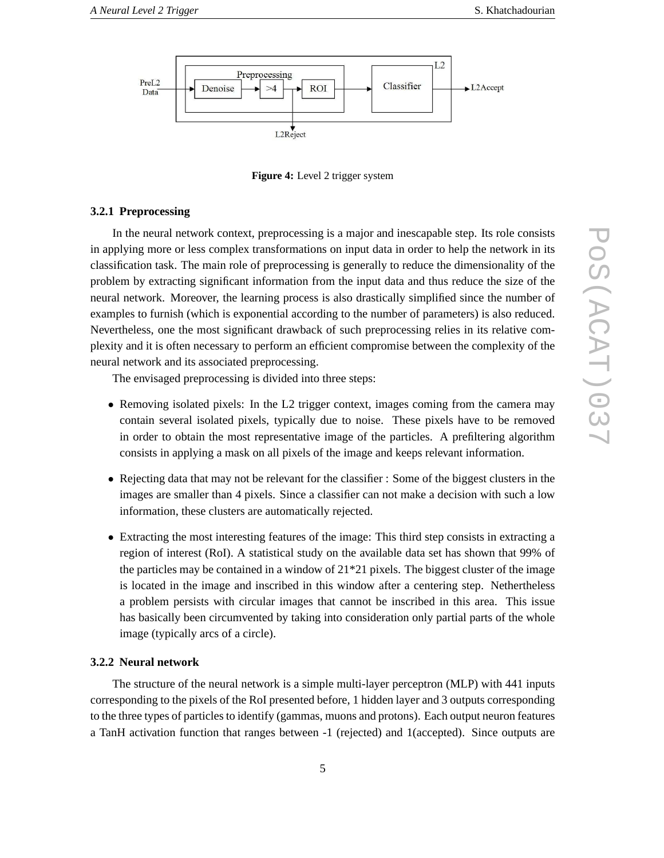

**Figure 4:** Level 2 trigger system

#### **3.2.1 Preprocessing**

In the neural network context, preprocessing is a major and inescapable step. Its role consists in applying more or less complex transformations on input data in order to help the network in its classification task. The main role of preprocessing is generally to reduce the dimensionality of the problem by extracting significant information from the input data and thus reduce the size of the neural network. Moreover, the learning process is also drastically simplified since the number of examples to furnish (which is exponential according to the number of parameters) is also reduced. Nevertheless, one the most significant drawback of such preprocessing relies in its relative complexity and it is often necessary to perform an efficient compromise between the complexity of the neural network and its associated preprocessing.

The envisaged preprocessing is divided into three steps:

- Removing isolated pixels: In the L2 trigger context, images coming from the camera may contain several isolated pixels, typically due to noise. These pixels have to be removed in order to obtain the most representative image of the particles. A prefiltering algorithm consists in applying a mask on all pixels of the image and keeps relevant information.
- Rejecting data that may not be relevant for the classifier : Some of the biggest clusters in the images are smaller than 4 pixels. Since a classifier can not make a decision with such a low information, these clusters are automatically rejected.
- Extracting the most interesting features of the image: This third step consists in extracting a region of interest (RoI). A statistical study on the available data set has shown that 99% of the particles may be contained in a window of  $21*21$  pixels. The biggest cluster of the image is located in the image and inscribed in this window after a centering step. Nethertheless a problem persists with circular images that cannot be inscribed in this area. This issue has basically been circumvented by taking into consideration only partial parts of the whole image (typically arcs of a circle).

#### **3.2.2 Neural network**

The structure of the neural network is a simple multi-layer perceptron (MLP) with 441 inputs corresponding to the pixels of the RoI presented before, 1 hidden layer and 3 outputs corresponding to the three types of particles to identify (gammas, muons and protons). Each output neuron features a TanH activation function that ranges between -1 (rejected) and 1(accepted). Since outputs are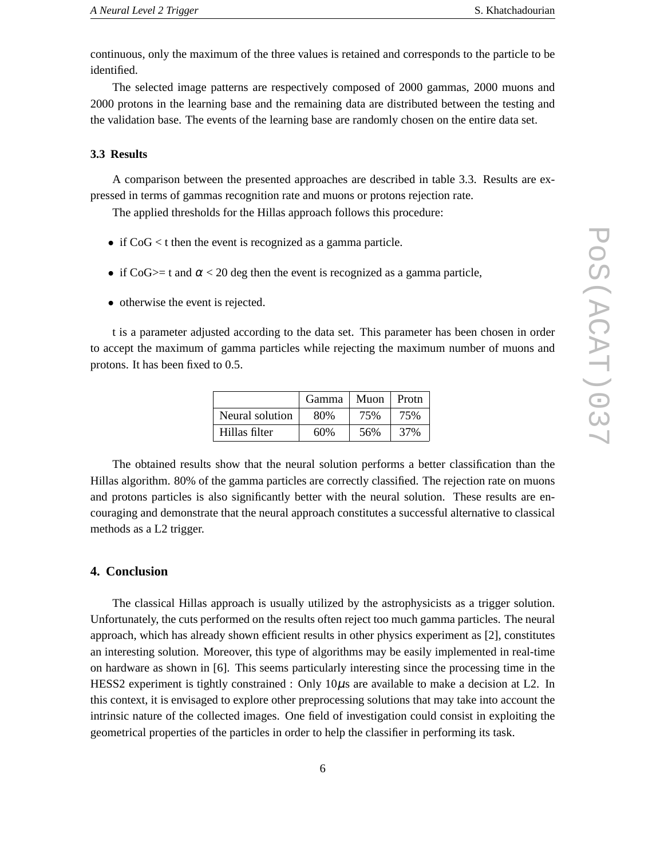continuous, only the maximum of the three values is retained and corresponds to the particle to be identified.

The selected image patterns are respectively composed of 2000 gammas, 2000 muons and 2000 protons in the learning base and the remaining data are distributed between the testing and the validation base. The events of the learning base are randomly chosen on the entire data set.

#### **3.3 Results**

A comparison between the presented approaches are described in table 3.3. Results are expressed in terms of gammas recognition rate and muons or protons rejection rate.

The applied thresholds for the Hillas approach follows this procedure:

- if  $CoG < t$  then the event is recognized as a gamma particle.
- if CoG $\ge$  t and  $\alpha$  < 20 deg then the event is recognized as a gamma particle,
- otherwise the event is rejected.

t is a parameter adjusted according to the data set. This parameter has been chosen in order to accept the maximum of gamma particles while rejecting the maximum number of muons and protons. It has been fixed to 0.5.

|                 | Gamma | Muon | Protn |
|-----------------|-------|------|-------|
| Neural solution | 80%   | 75%  | 75%   |
| Hillas filter   | 60%   | 56%  | 37%   |

The obtained results show that the neural solution performs a better classification than the Hillas algorithm. 80% of the gamma particles are correctly classified. The rejection rate on muons and protons particles is also significantly better with the neural solution. These results are encouraging and demonstrate that the neural approach constitutes a successful alternative to classical methods as a L2 trigger.

### **4. Conclusion**

The classical Hillas approach is usually utilized by the astrophysicists as a trigger solution. Unfortunately, the cuts performed on the results often reject too much gamma particles. The neural approach, which has already shown efficient results in other physics experiment as [2], constitutes an interesting solution. Moreover, this type of algorithms may be easily implemented in real-time on hardware as shown in [6]. This seems particularly interesting since the processing time in the HESS2 experiment is tightly constrained : Only  $10\mu s$  are available to make a decision at L2. In this context, it is envisaged to explore other preprocessing solutions that may take into account the intrinsic nature of the collected images. One field of investigation could consist in exploiting the geometrical properties of the particles in order to help the classifier in performing its task.